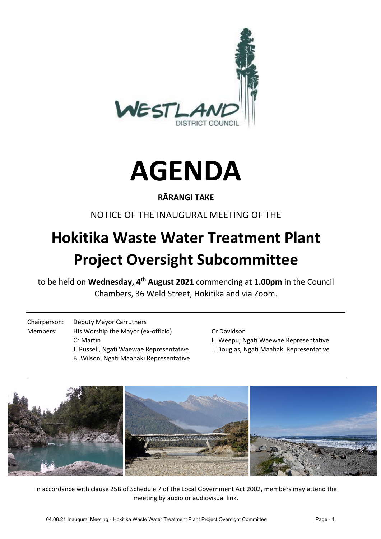



## **RĀRANGI TAKE**

## NOTICE OF THE INAUGURAL MEETING OF THE

# **Hokitika Waste Water Treatment Plant Project Oversight Subcommittee**

to be held on **Wednesday, 4th August 2021** commencing at **1.00pm** in the Council Chambers, 36 Weld Street, Hokitika and via Zoom.

- Chairperson: Deputy Mayor Carruthers Members: His Worship the Mayor (ex-officio) Cr Davidson Cr Martin E. Weepu, Ngati Waewae Representative J. Russell, Ngati Waewae Representative J. Douglas, Ngati Maahaki Representative B. Wilson, Ngati Maahaki Representative
	-
	-
	-



In accordance with clause 25B of Schedule 7 of the Local Government Act 2002, members may attend the meeting by audio or audiovisual link.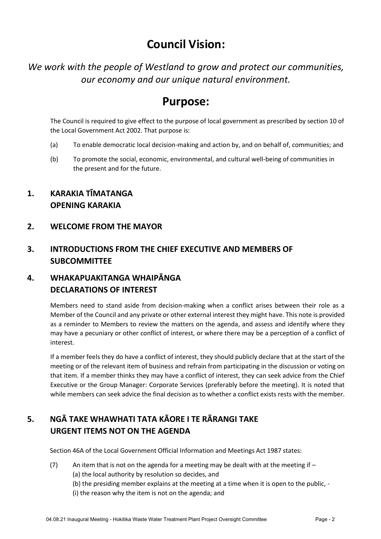# **Council Vision:**

*We work with the people of Westland to grow and protect our communities, our economy and our unique natural environment.*

# **Purpose:**

The Council is required to give effect to the purpose of local government as prescribed by section 10 of the Local Government Act 2002. That purpose is:

- (a) To enable democratic local decision-making and action by, and on behalf of, communities; and
- (b) To promote the social, economic, environmental, and cultural well-being of communities in the present and for the future.
- **1. KARAKIA TĪMATANGA OPENING KARAKIA**
- **2. WELCOME FROM THE MAYOR**

#### **3. INTRODUCTIONS FROM THE CHIEF EXECUTIVE AND MEMBERS OF SUBCOMMITTEE**

#### **4. WHAKAPUAKITANGA WHAIPĀNGA DECLARATIONS OF INTEREST**

Members need to stand aside from decision-making when a conflict arises between their role as a Member of the Council and any private or other external interest they might have. This note is provided as a reminder to Members to review the matters on the agenda, and assess and identify where they may have a pecuniary or other conflict of interest, or where there may be a perception of a conflict of interest.

If a member feels they do have a conflict of interest, they should publicly declare that at the start of the meeting or of the relevant item of business and refrain from participating in the discussion or voting on that item. If a member thinks they may have a conflict of interest, they can seek advice from the Chief Executive or the Group Manager: Corporate Services (preferably before the meeting). It is noted that while members can seek advice the final decision as to whether a conflict exists rests with the member.

## **5. NGĀ TAKE WHAWHATI TATA KĀORE I TE RĀRANGI TAKE URGENT ITEMS NOT ON THE AGENDA**

Section 46A of the Local Government Official Information and Meetings Act 1987 states:

- (7) An item that is not on the agenda for a meeting may be dealt with at the meeting if  $-$ (a) the local authority by resolution so decides, and
	- (b) the presiding member explains at the meeting at a time when it is open to the public, -
	- (i) the reason why the item is not on the agenda; and